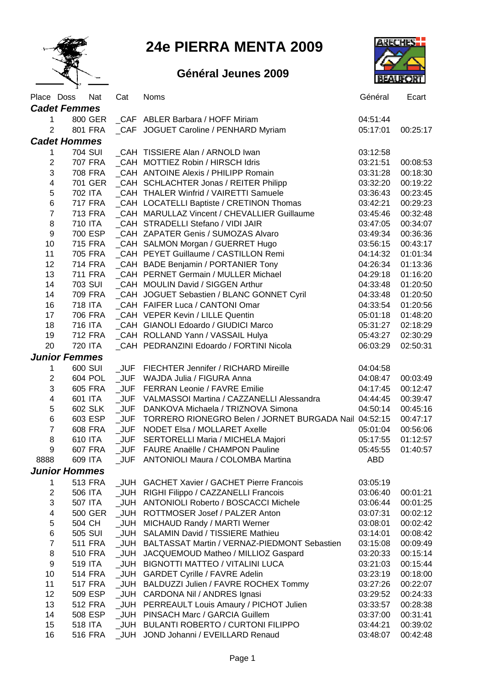

## **24e PIERRA MENTA 2009**

## **Général Jeunes 2009**



|                         | Place Doss           | Nat            | Cat        | <b>Noms</b>                                           | Général              | Ecart                |  |  |  |  |
|-------------------------|----------------------|----------------|------------|-------------------------------------------------------|----------------------|----------------------|--|--|--|--|
| <b>Cadet Femmes</b>     |                      |                |            |                                                       |                      |                      |  |  |  |  |
| 1                       |                      | 800 GER        |            | CAF ABLER Barbara / HOFF Miriam                       | 04:51:44             |                      |  |  |  |  |
| $\overline{2}$          |                      | 801 FRA        |            | _CAF JOGUET Caroline / PENHARD Myriam                 | 05:17:01             | 00:25:17             |  |  |  |  |
| <b>Cadet Hommes</b>     |                      |                |            |                                                       |                      |                      |  |  |  |  |
| 1                       |                      | 704 SUI        |            | CAH TISSIERE Alan / ARNOLD Iwan                       | 03:12:58             |                      |  |  |  |  |
| $\overline{c}$          |                      | 707 FRA        |            | _CAH MOTTIEZ Robin / HIRSCH Idris                     | 03:21:51             | 00:08:53             |  |  |  |  |
| 3                       |                      | 708 FRA        |            | _CAH ANTOINE Alexis / PHILIPP Romain                  | 03:31:28             | 00:18:30             |  |  |  |  |
| $\overline{\mathbf{4}}$ |                      | 701 GER        |            | _CAH SCHLACHTER Jonas / REITER Philipp                | 03:32:20             | 00:19:22             |  |  |  |  |
| 5                       |                      | 702 ITA        |            | CAH THALER Winfrid / VAIRETTI Samuele                 | 03:36:43             | 00:23:45             |  |  |  |  |
| 6                       |                      | <b>717 FRA</b> |            | _CAH LOCATELLI Baptiste / CRETINON Thomas             | 03:42:21             | 00:29:23             |  |  |  |  |
| $\overline{7}$          |                      | 713 FRA        |            | CAH MARULLAZ Vincent / CHEVALLIER Guillaume           | 03:45:46             | 00:32:48             |  |  |  |  |
| 8                       |                      | 710 ITA        |            | CAH STRADELLI Stefano / VIDI JAIR                     | 03:47:05             | 00:34:07             |  |  |  |  |
| $\boldsymbol{9}$        |                      | 700 ESP        |            | CAH ZAPATER Genis / SUMOZAS Alvaro                    | 03:49:34             | 00:36:36             |  |  |  |  |
| 10                      |                      | 715 FRA        |            | _CAH SALMON Morgan / GUERRET Hugo                     | 03:56:15             | 00:43:17             |  |  |  |  |
| 11                      |                      | 705 FRA        |            | CAH PEYET Guillaume / CASTILLON Remi                  | 04:14:32             | 01:01:34             |  |  |  |  |
| 12                      |                      | 714 FRA        |            | _CAH BADE Benjamin / PORTANIER Tony                   | 04:26:34             | 01:13:36             |  |  |  |  |
| 13                      |                      | <b>711 FRA</b> |            | _CAH PERNET Germain / MULLER Michael                  | 04:29:18             | 01:16:20             |  |  |  |  |
| 14                      |                      | 703 SUI        |            | _CAH MOULIN David / SIGGEN Arthur                     | 04:33:48             | 01:20:50             |  |  |  |  |
| 14                      |                      | 709 FRA        |            | _CAH JOGUET Sebastien / BLANC GONNET Cyril            | 04:33:48             | 01:20:50             |  |  |  |  |
| 16                      |                      | 718 ITA        |            | CAH FAIFER Luca / CANTONI Omar                        | 04:33:54             | 01:20:56             |  |  |  |  |
| 17                      |                      | 706 FRA        |            | CAH VEPER Kevin / LILLE Quentin                       | 05:01:18             | 01:48:20             |  |  |  |  |
| 18                      |                      | 716 ITA        |            | CAH GIANOLI Edoardo / GIUDICI Marco                   | 05:31:27             | 02:18:29             |  |  |  |  |
| 19                      |                      | 712 FRA        |            | _CAH ROLLAND Yann / VASSAIL Hulya                     | 05:43:27             | 02:30:29             |  |  |  |  |
| 20                      |                      | 720 ITA        |            | _CAH PEDRANZINI Edoardo / FORTINI Nicola              | 06:03:29             | 02:50:31             |  |  |  |  |
|                         | <b>Junior Femmes</b> |                |            |                                                       |                      |                      |  |  |  |  |
|                         |                      | 600 SUI        |            | _JUF FIECHTER Jennifer / RICHARD Mireille             | 04:04:58             |                      |  |  |  |  |
| 1<br>$\overline{2}$     |                      | 604 POL        | <b>JUF</b> | WAJDA Julia / FIGURA Anna                             |                      |                      |  |  |  |  |
| 3                       |                      | 605 FRA        | <b>JUF</b> | <b>FERRAN Leonie / FAVRE Emilie</b>                   | 04:08:47<br>04:17:45 | 00:03:49<br>00:12:47 |  |  |  |  |
| $\overline{\mathbf{4}}$ |                      | 601 ITA        | $_JUF$     | VALMASSOI Martina / CAZZANELLI Alessandra             | 04:44:45             | 00:39:47             |  |  |  |  |
| 5                       |                      | 602 SLK        | $_JUF$     | DANKOVA Michaela / TRIZNOVA Simona                    | 04:50:14             | 00:45:16             |  |  |  |  |
|                         |                      | 603 ESP        | <b>JUF</b> | TORRERO RIONEGRO Belen / JORNET BURGADA Nail 04:52:15 |                      | 00:47:17             |  |  |  |  |
| 6<br>$\overline{7}$     |                      | 608 FRA        |            | JUF NODET Elsa / MOLLARET Axelle                      | 05:01:04             |                      |  |  |  |  |
| 8                       |                      | 610 ITA        |            |                                                       |                      | 00:56:06<br>01:12:57 |  |  |  |  |
|                         |                      |                |            | _JUF SERTORELLI Maria / MICHELA Majori                | 05:17:55             |                      |  |  |  |  |
| 9                       |                      | <b>607 FRA</b> | JUF        | FAURE Anaëlle / CHAMPON Pauline                       | 05:45:55             | 01:40:57             |  |  |  |  |
| 8888                    |                      | 609 ITA        |            | _JUF ANTONIOLI Maura / COLOMBA Martina                | ABD                  |                      |  |  |  |  |
|                         | <b>Junior Hommes</b> |                |            |                                                       |                      |                      |  |  |  |  |
| 1                       |                      | <b>513 FRA</b> |            | JUH GACHET Xavier / GACHET Pierre Francois            | 03:05:19             |                      |  |  |  |  |
| $\overline{\mathbf{c}}$ |                      | 506 ITA        |            | _JUH RIGHI Filippo / CAZZANELLI Francois              | 03:06:40             | 00:01:21             |  |  |  |  |
| 3                       |                      | 507 ITA        |            | JUH ANTONIOLI Roberto / BOSCACCI Michele              | 03:06:44             | 00:01:25             |  |  |  |  |
| 4                       |                      | 500 GER        |            | _JUH ROTTMOSER Josef / PALZER Anton                   | 03:07:31             | 00:02:12             |  |  |  |  |
| 5                       |                      | 504 CH         |            | _JUH MICHAUD Randy / MARTI Werner                     | 03:08:01             | 00:02:42             |  |  |  |  |
| 6                       |                      | 505 SUI        |            | JUH SALAMIN David / TISSIERE Mathieu                  | 03:14:01             | 00:08:42             |  |  |  |  |
| $\overline{\mathbf{7}}$ |                      | 511 FRA        |            | _JUH BALTASSAT Martin / VERNAZ-PIEDMONT Sebastien     | 03:15:08             | 00:09:49             |  |  |  |  |
| 8                       |                      | 510 FRA        | $\_$ JUH   | JACQUEMOUD Matheo / MILLIOZ Gaspard                   | 03:20:33             | 00:15:14             |  |  |  |  |
| 9                       |                      | 519 ITA        | _JUH       | <b>BIGNOTTI MATTEO / VITALINI LUCA</b>                | 03:21:03             | 00:15:44             |  |  |  |  |
| 10                      |                      | <b>514 FRA</b> | _JUH       | <b>GARDET Cyrille / FAVRE Adelin</b>                  | 03:23:19             | 00:18:00             |  |  |  |  |
| 11                      |                      | <b>517 FRA</b> |            | _JUH BALDUZZI Julien / FAVRE ROCHEX Tommy             | 03:27:26             | 00:22:07             |  |  |  |  |
| 12                      |                      | 509 ESP        |            | _JUH CARDONA Nil / ANDRES Ignasi                      | 03:29:52             | 00:24:33             |  |  |  |  |
| 13                      |                      | 512 FRA        |            | _JUH PERREAULT Louis Amaury / PICHOT Julien           | 03:33:57             | 00:28:38             |  |  |  |  |
| 14                      |                      | 508 ESP        |            | _JUH PINSACH Marc / GARCIA Guillem                    | 03:37:00             | 00:31:41             |  |  |  |  |
| 15                      |                      | 518 ITA        |            | _JUH BULANTI ROBERTO / CURTONI FILIPPO                | 03:44:21             | 00:39:02             |  |  |  |  |
| 16                      |                      | 516 FRA        |            | _JUH JOND Johanni / EVEILLARD Renaud                  | 03:48:07             | 00:42:48             |  |  |  |  |